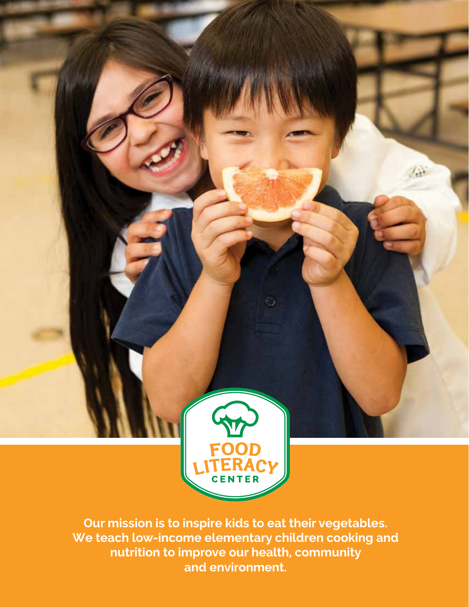

**Our mission is to inspire kids to eat their vegetables. We teach low-income elementary children cooking and nutrition to improve our health, community and environment.**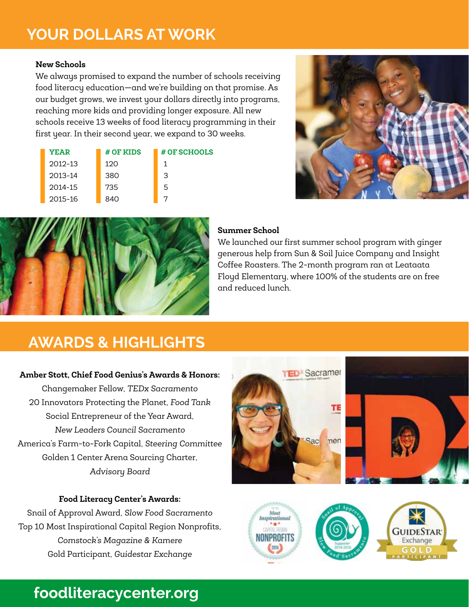### **YOUR DOLLARS AT WORK**

#### **New Schools**

----- <del>--------</del><br>We always promised to expand the number of schools receiving<br>food literacy education—and we're building on that promise. As tood literacy education—and we're building on that promise. As our budget grows, we invest your dollars directly into programs, our buaget grows, we invest your aoilars airectly into progro<br>reaching more kids and providing longer exposure. All new schools receive 13 weeks of food literacy programming in their first year. In their second year, we expand to 30 weeks. ecugnito programs, m<br>Id<br>rs be<br>in<br>d

| <b>YEAR</b> | # OF KIDS | # OF SCHOOLS |
|-------------|-----------|--------------|
| $2012 - 13$ | 12O       | 1            |
| 2013-14     | 380       | З            |
| 2014-15     | 735       | 5            |
| 2015-16     | 840       |              |





#### **Summer School**

We launched our first summer school program with ginger generous help from Sun & Soil Juice Company and Insight Coffee Roasters. The 2-month program ran at Leataata Floyd Elementary, where 100% of the students are on free and reduced lunch.

### **AWARDS & HIGHLIGHTS**

#### **Amber Stott, Chief Food Genius's Awards & Honors:**

Changemaker Fellow, *TEDx Sacramento* 20 Innovators Protecting the Planet, *Food Tank* Social Entrepreneur of the Year Award, *New Leaders Council Sacramento*  America's Farm-to-Fork Capital, *Steering Committee* Golden 1 Center Arena Sourcing Charter, *Advisory Board* 

#### **Food Literacy Center's Awards:**

Snail of Approval Award, *Slow Food Sacramento* Top 10 Most Inspirational Capital Region Nonprofits, *Comstock's Magazine & Kamere* Gold Participant, *Guidestar Exchange* 





### **foodliteracycenter.org**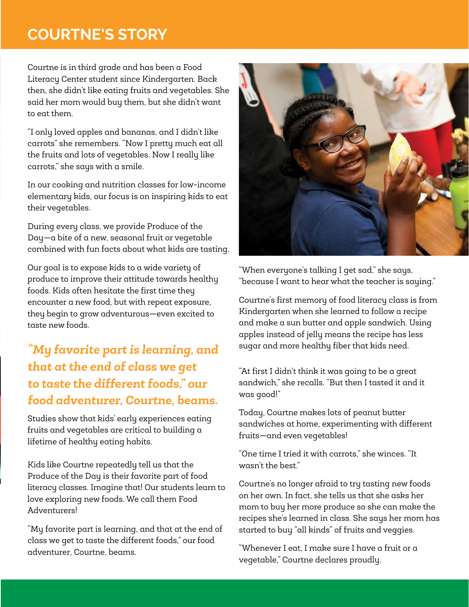### **COURTNE'S STORY**

Courtne is in third grade and has been a Food Literacy Center student since Kindergarten. Back then, she didn't like eating fruits and vegetables. She said her mom would buy them, but she didn't want to eat them.

"I only loved apples and bananas, and I didn't like carrots" she remembers. "Now I pretty much eat all the fruits and lots of vegetables. Now I really like carrots," she says with a smile.

In our cooking and nutrition classes for low-income elementary kids, our focus is on inspiring kids to eat their vegetables.

During every class, we provide Produce of the Day—a bite of a new, seasonal fruit or vegetable combined with fun facts about what kids are tasting.

Our goal is to expose kids to a wide variety of produce to improve their attitude towards healthy foods. Kids often hesitate the first time they encounter a new food, but with repeat exposure, they begin to grow adventurous—even excited to taste new foods.

### *"My favorite part is learning, and that at the end of class we get to taste the different foods," our food adventurer, Courtne, beams.*

Studies show that kids' early experiences eating fruits and vegetables are critical to building a lifetime of healthy eating habits.

Kids like Courtne repeatedly tell us that the Produce of the Day is their favorite part of food literacy classes. Imagine that! Our students learn to love exploring new foods. We call them Food Adventurers!

"My favorite part is learning, and that at the end of class we get to taste the different foods," our food adventurer, Courtne, beams.



"When everyone's talking I get sad," she says, "because I want to hear what the teacher is saying."

Courtne's first memory of food literacy class is from Kindergarten when she learned to follow a recipe and make a sun butter and apple sandwich. Using apples instead of jelly means the recipe has less sugar and more healthy fiber that kids need.

"At first I didn't think it was going to be a great sandwich," she recalls. "But then I tasted it and it was good!"

Today, Courtne makes lots of peanut butter sandwiches at home, experimenting with different fruits—and even vegetables!

"One time I tried it with carrots," she winces. "It wasn't the best."

Courtne's no longer afraid to try tasting new foods on her own. In fact, she tells us that she asks her mom to buy her more produce so she can make the recipes she's learned in class. She says her mom has started to buy "all kinds" of fruits and veggies.

"Whenever I eat, I make sure I have a fruit or a vegetable," Courtne declares proudly.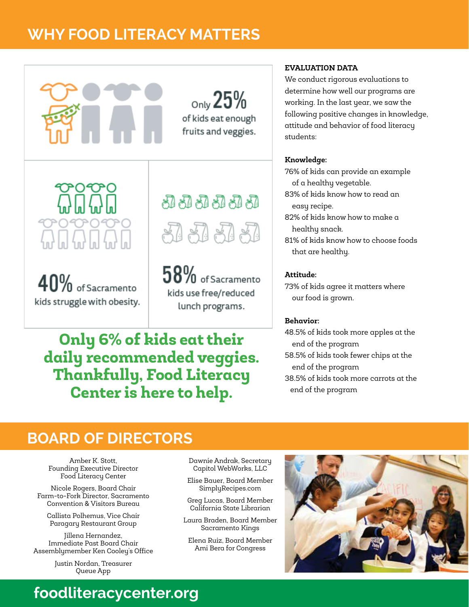### WHY FOOD LITERACY MATTERS **WHY FOOD LITERACY MATTERS**



 $_{\text{Only}}25\%$ of kids eat enough fruits and veggies.

 $40\%$  of Sacramento kids struggle with obesity.

# 51 51 51 51 51 웹 웹 웹 및

 $58\%$  of Sacramento kids use free/reduced lunch programs.

### **Only 6% of kids eat their daily recommended veggies. Thankfully, Food Literacy Center is here to help.**

#### **EVALUATION DATA**

We conduct rigorous evaluations to determine how well our programs are working. In the last year, we saw the following positive changes in knowledge, attitude and behavior of food literacy students:

#### **Knowledge:**

76% of kids can provide an example of a healthy vegetable.

83% of kids know how to read an easy recipe.

82% of kids know how to make a healthy snack.

81% of kids know how to choose foods that are healthy.

#### **Attitude:**

73% of kids agree it matters where our food is grown.

#### **Behavior:**

48.5% of kids took more apples at the end of the program 58.5% of kids took fewer chips at the end of the program 38.5% of kids took more carrots at the

end of the program

**BOARD OF DIRECTORS**

Amber K. Stott, Founding Executive Director Food Literacy Center

Nicole Rogers, Board Chair Farm-to-Fork Director, Sacramento Convention & Visitors Bureau

Callista Polhemus, Vice Chair Paragary Restaurant Group

Jillena Hernandez, Immediate Past Board Chair Assemblymember Ken Cooley's Office

> Justin Nordan, Treasurer Queue App

Dawnie Andrak, Secretary Capitol WebWorks, LLC

Elise Bauer, Board Member SimplyRecipes.com

Greg Lucas, Board Member California State Librarian

Laura Braden, Board Member Sacramento Kings

Elena Ruiz, Board Member Ami Bera for Congress



## **foodliteracycenter.org**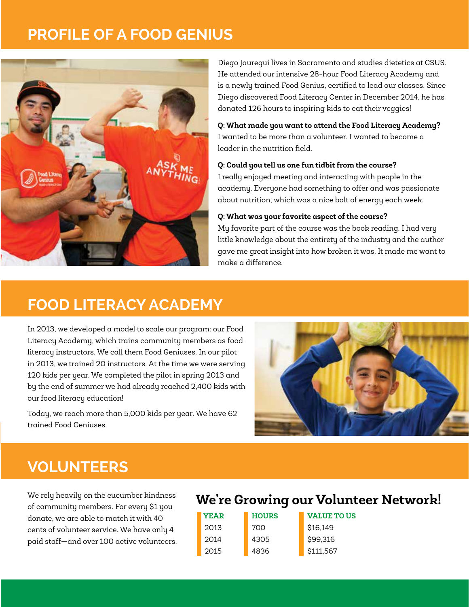### **PROFILE OF A FOOD GENIUS**



Diego Jauregui lives in Sacramento and studies dietetics at CSUS. He attended our intensive 28-hour Food Literacy Academy and is a newly trained Food Genius, certified to lead our classes. Since Diego discovered Food Literacy Center in December 2014, he has donated 126 hours to inspiring kids to eat their veggies!

**Q: What made you want to attend the Food Literacy Academy?** I wanted to be more than a volunteer. I wanted to become a leader in the nutrition field.

#### **Q: Could you tell us one fun tidbit from the course?**

I really enjoyed meeting and interacting with people in the academy. Everyone had something to offer and was passionate about nutrition, which was a nice bolt of energy each week.

#### **Q: What was your favorite aspect of the course?**

My favorite part of the course was the book reading. I had very little knowledge about the entirety of the industry and the author gave me great insight into how broken it was. It made me want to make a difference.

### **FOOD LITERACY ACADEMY**

In 2013, we developed a model to scale our program: our Food Literacy Academy, which trains community members as food literacy instructors. We call them Food Geniuses. In our pilot in 2013, we trained 20 instructors. At the time we were serving 120 kids per year. We completed the pilot in spring 2013 and by the end of summer we had already reached 2,400 kids with our food literacy education!

Today, we reach more than 5,000 kids per year. We have 62 trained Food Geniuses. ar. We have 62<br>



### **VOLUNTEERS**

We rely heavily on the cucumber kindness of community members. For every \$1 you donate, we are able to match it with 40 cents of volunteer service. We have only 4 paid staff—and over 100 active volunteers.

### **We're Growing our Volunteer Network!**

| <b>YEAR</b> | <b>HOURS</b> | <b>VALUE TO US</b> |
|-------------|--------------|--------------------|
| 2013        | 700          | \$16,149           |
| 2014        | 4305         | \$99,316           |
| 2015        | 4836         | \$111,567          |

2014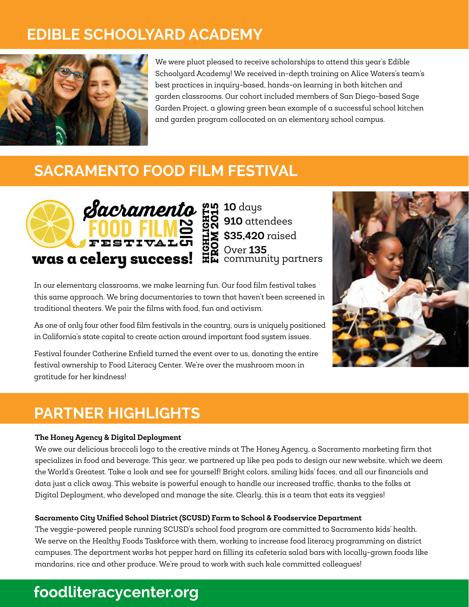### **EDIBLE SCHOOLYARD ACADEMY**  $\overline{2}$ noodmus as



We were pluot pleased to receive scholarships to attend this year's Edible  $\sim$ Schoolyard Academy! We received in-depth training on Alice Waters's team's best practices in inquiry-based, hands-on learning in both kitchen and garden classrooms. Our cohort included members of San Diego-based Sage Garden Project, a glowing green bean example of a successful school kitchen **water of the Growing of American** B and garden program collocated on an elementary school campus.

### **SACRAMENTO FOOD FILM FESTIVAL**



**10** days **910** attendees **\$35,420** raised Over **135**  community partners FROM 201 rý

In our elementary classrooms, we make learning fun. Our food film festival takes this same approach. We bring documentaries to town that haven't been screened in traditional theaters. We pair the films with food, fun and activism.<br>```

As one of only four other food film festivals in the country, ours is uniquely positioned in California's state capital to create action around important food system issues.

Festival founder Catherine Enfield turned the event over to us, donating the entire festival ownership to Food Literacy Center. We're over the mushroom moon in gratitude for her kindness!



### **PARTNER HIGHLIGHTS**

#### **The Honey Agency & Digital Deployment**

We owe our delicious broccoli logo to the creative minds at The Honey Agency, a Sacramento marketing firm that specializes in food and beverage. This year, we partnered up like pea pods to design our new website, which we deem the World's Greatest. Take a look and see for yourself! Bright colors, smiling kids' faces, and all our financials and data just a click away. This website is powerful enough to handle our increased traffic, thanks to the folks at Digital Deployment, who developed and manage the site. Clearly, this is a team that eats its veggies!

#### **Sacramento City Unified School District (SCUSD) Farm to School & Foodservice Department**

The veggie-powered people running SCUSD's school food program are committed to Sacramento kids' health. We serve on the Healthy Foods Taskforce with them, working to increase food literacy programming on district campuses. The department works hot pepper hard on filling its cafeteria salad bars with locally-grown foods like mandarins, rice and other produce. We're proud to work with such kale committed colleagues!

### **foodliteracycenter.org**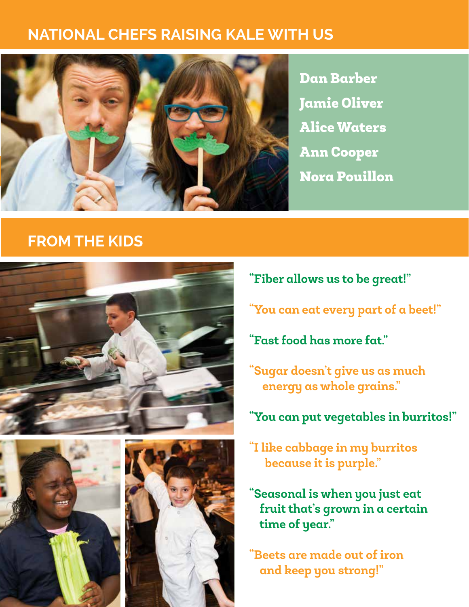### **NATIONAL CHEFS RAISING KALE WITH US**



Dan Barber Jamie Oliver Alice Waters Ann Cooper Nora Pouillon

### **FROM THE KIDS**







- **"Fiber allows us to be great!"**
- **"You can eat every part of a beet!"**
- **"Fast food has more fat."**
- **"Sugar doesn't give us as much energy as whole grains."**
- **"You can put vegetables in burritos!"**
- **"I like cabbage in my burritos because it is purple."**
- **"Seasonal is when you just eat fruit that's grown in a certain time of year."**

**"Beets are made out of iron and keep you strong!"**